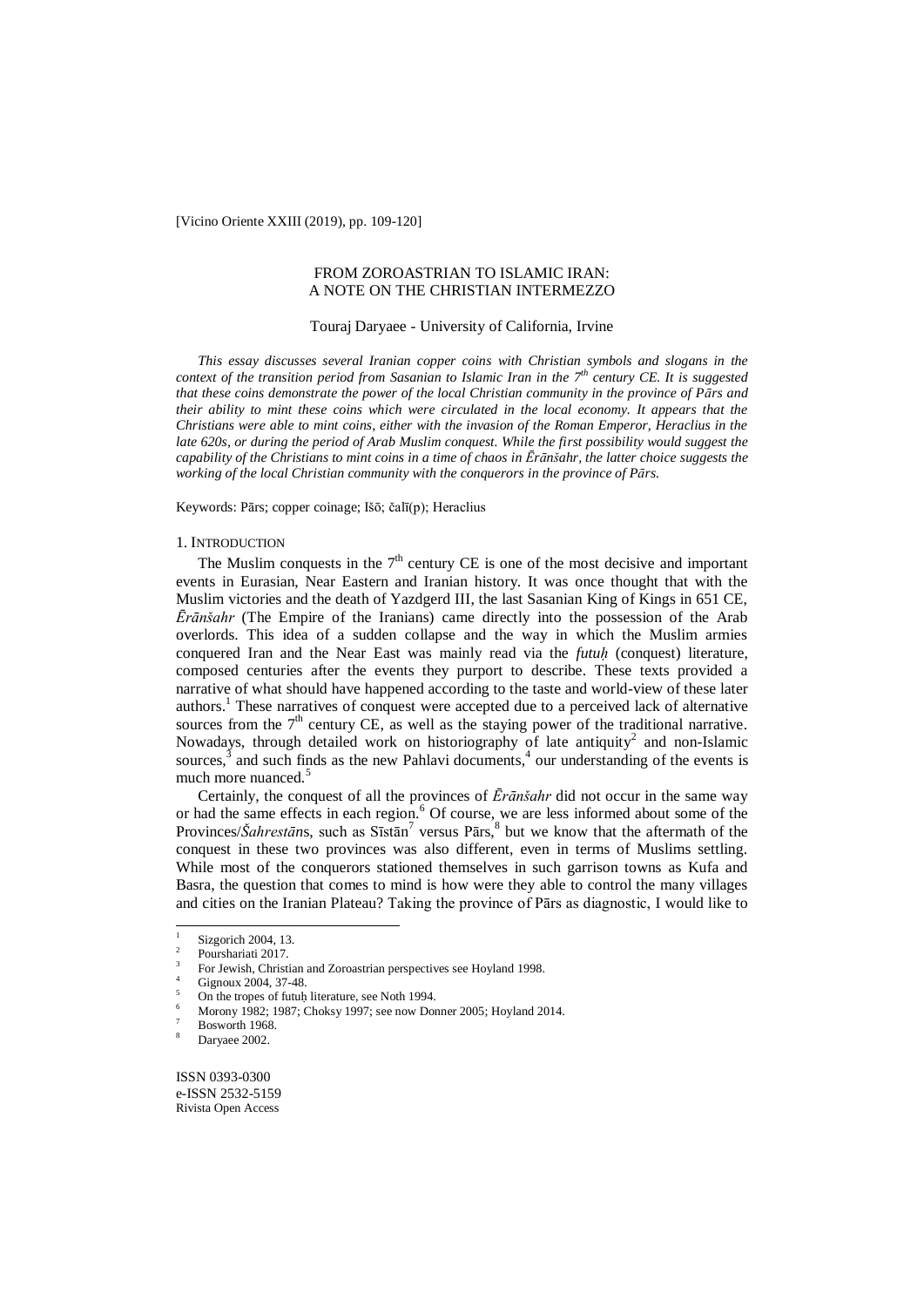[Vicino Oriente XXIII (2019), pp. 109-120]

# FROM ZOROASTRIAN TO ISLAMIC IRAN: A NOTE ON THE CHRISTIAN INTERMEZZO

# Touraj Daryaee - University of California, Irvine

*This essay discusses several Iranian copper coins with Christian symbols and slogans in the context of the transition period from Sasanian to Islamic Iran in the 7<sup>th</sup> century CE. It is suggested that these coins demonstrate the power of the local Christian community in the province of Pārs and their ability to mint these coins which were circulated in the local economy. It appears that the Christians were able to mint coins, either with the invasion of the Roman Emperor, Heraclius in the late 620s, or during the period of Arab Muslim conquest. While the first possibility would suggest the capability of the Christians to mint coins in a time of chaos in Ērānšahr, the latter choice suggests the working of the local Christian community with the conquerors in the province of Pārs.*

Keywords: Pārs; copper coinage; Išō; čalī(p); Heraclius

### 1. INTRODUCTION

The Muslim conquests in the  $7<sup>th</sup>$  century CE is one of the most decisive and important events in Eurasian, Near Eastern and Iranian history. It was once thought that with the Muslim victories and the death of Yazdgerd III, the last Sasanian King of Kings in 651 CE, *Ērānšahr* (The Empire of the Iranians) came directly into the possession of the Arab overlords. This idea of a sudden collapse and the way in which the Muslim armies conquered Iran and the Near East was mainly read via the *futuh* (conquest) literature, composed centuries after the events they purport to describe. These texts provided a narrative of what should have happened according to the taste and world-view of these later authors. 1 These narratives of conquest were accepted due to a perceived lack of alternative sources from the  $7<sup>th</sup>$  century CE, as well as the staying power of the traditional narrative. Nowadays, through detailed work on historiography of late antiquity<sup>2</sup> and non-Islamic sources, $\frac{3}{3}$  and such finds as the new Pahlavi documents,  $\frac{4}{3}$  our understanding of the events is much more nuanced.<sup>5</sup>

Certainly, the conquest of all the provinces of *Ērānšahr* did not occur in the same way or had the same effects in each region. <sup>6</sup> Of course, we are less informed about some of the Provinces/*Šahrestāns*, such as Sīstān<sup>7</sup> versus Pārs, <sup>8</sup> but we know that the aftermath of the conquest in these two provinces was also different, even in terms of Muslims settling. While most of the conquerors stationed themselves in such garrison towns as Kufa and Basra, the question that comes to mind is how were they able to control the many villages and cities on the Iranian Plateau? Taking the province of Pārs as diagnostic, I would like to

 $\overline{a}$ 

ISSN 0393-0300 e-ISSN 2532-5159 Rivista Open Access

<sup>1</sup> Sizgorich 2004, 13.

<sup>2</sup> Pourshariati 2017.

<sup>3</sup> For Jewish, Christian and Zoroastrian perspectives see Hoyland 1998.

Gignoux 2004, 37-48.

On the tropes of futuh literature, see Noth 1994.

Morony 1982; 1987; Choksy 1997; see now Donner 2005; Hoyland 2014.

Bosworth 1968.

Daryaee 2002.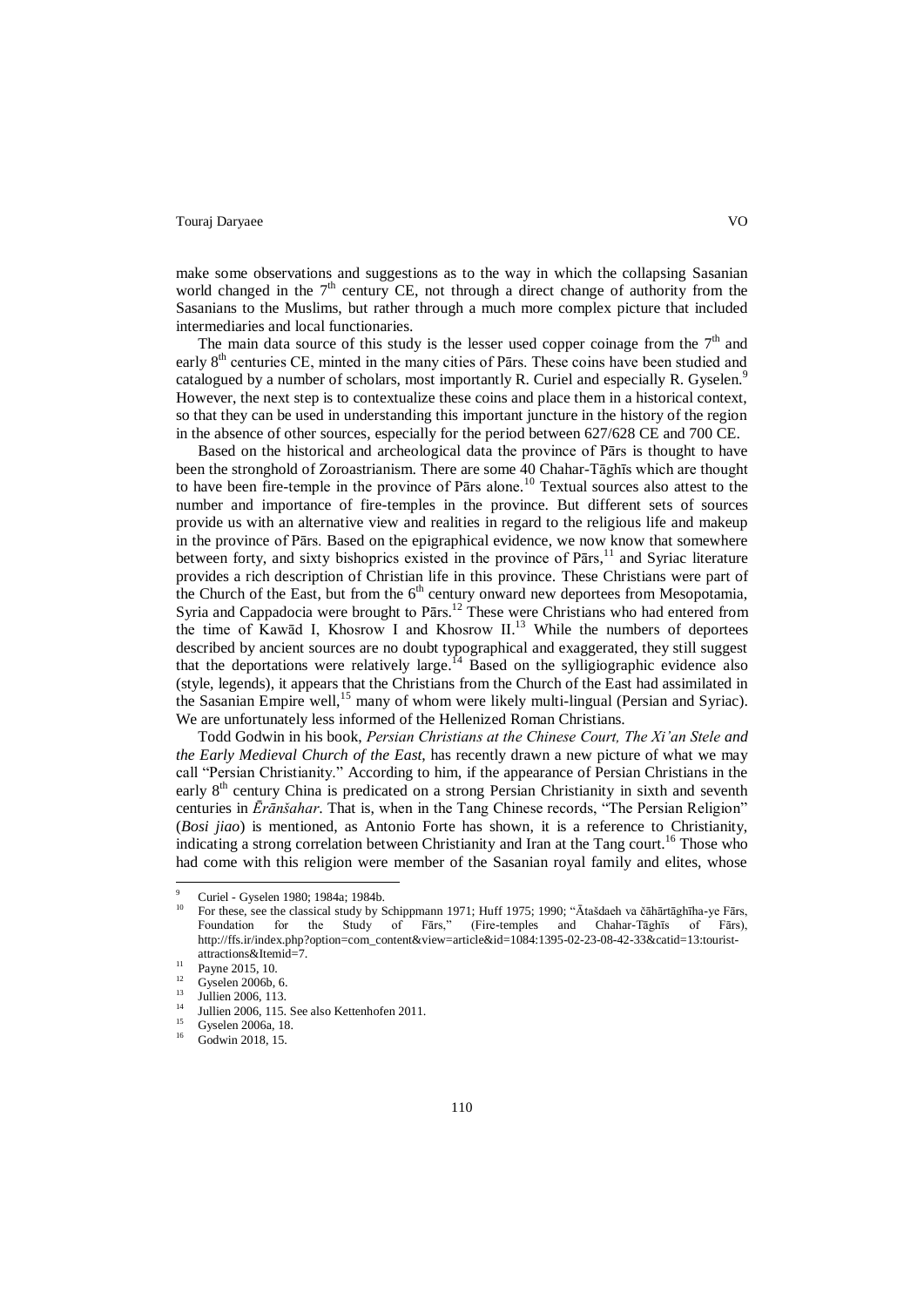make some observations and suggestions as to the way in which the collapsing Sasanian world changed in the  $7<sup>th</sup>$  century CE, not through a direct change of authority from the Sasanians to the Muslims, but rather through a much more complex picture that included intermediaries and local functionaries.

The main data source of this study is the lesser used copper coinage from the  $7<sup>th</sup>$  and early 8<sup>th</sup> centuries CE, minted in the many cities of Pārs. These coins have been studied and catalogued by a number of scholars, most importantly R. Curiel and especially R. Gyselen.<sup>9</sup> However, the next step is to contextualize these coins and place them in a historical context, so that they can be used in understanding this important juncture in the history of the region in the absence of other sources, especially for the period between 627/628 CE and 700 CE.

Based on the historical and archeological data the province of Pārs is thought to have been the stronghold of Zoroastrianism. There are some 40 Chahar-Tāghīs which are thought to have been fire-temple in the province of Pārs alone. <sup>10</sup> Textual sources also attest to the number and importance of fire-temples in the province. But different sets of sources provide us with an alternative view and realities in regard to the religious life and makeup in the province of Pārs. Based on the epigraphical evidence, we now know that somewhere between forty, and sixty bishoprics existed in the province of Pārs,<sup>11</sup> and Syriac literature provides a rich description of Christian life in this province. These Christians were part of the Church of the East, but from the  $6<sup>th</sup>$  century onward new deportees from Mesopotamia, Syria and Cappadocia were brought to Pārs.<sup>12</sup> These were Christians who had entered from the time of Kawād I, Khosrow I and Khosrow II.<sup>13</sup> While the numbers of deportees described by ancient sources are no doubt typographical and exaggerated, they still suggest that the deportations were relatively large. <sup>14</sup> Based on the sylligiographic evidence also (style, legends), it appears that the Christians from the Church of the East had assimilated in the Sasanian Empire well, <sup>15</sup> many of whom were likely multi-lingual (Persian and Syriac). We are unfortunately less informed of the Hellenized Roman Christians.

Todd Godwin in his book, *Persian Christians at the Chinese Court, The Xi'an Stele and the Early Medieval Church of the East*, has recently drawn a new picture of what we may call "Persian Christianity." According to him, if the appearance of Persian Christians in the early 8<sup>th</sup> century China is predicated on a strong Persian Christianity in sixth and seventh centuries in *Ērānšahar*. That is, when in the Tang Chinese records, "The Persian Religion" (*Bosi jiao*) is mentioned, as Antonio Forte has shown, it is a reference to Christianity, indicating a strong correlation between Christianity and Iran at the Tang court.<sup>16</sup> Those who had come with this religion were member of the Sasanian royal family and elites, whose

 $\overline{a}$ 

 $^{9}$  Curiel - Gyselen 1980; 1984a; 1984b.

<sup>10</sup> For these, see the classical study by Schippmann 1971; Huff 1975; 1990; "Ātašdaeh va čāhārtāghīha-ye Fārs, Foundation for the Study of Fārs," (Fire-temples and Chahar-Tāghīs of Fārs), [http://ffs.ir/index.php?option=com\\_content&view=article&id=1084:1395-02-23-08-42-33&catid=13:tourist](http://ffs.ir/index.php?option=com_content&view=article&id=1084:1395-02-23-08-42-33&catid=13:tourist-attractions&Itemid=7)[attractions&Itemid=7.](http://ffs.ir/index.php?option=com_content&view=article&id=1084:1395-02-23-08-42-33&catid=13:tourist-attractions&Itemid=7)

<sup>&</sup>lt;sup>11</sup> Payne 2015, 10.

 $\frac{12}{13}$  Gyselen 2006b, 6.

 $13$  Jullien 2006, 113.

<sup>&</sup>lt;sup>14</sup> Jullien 2006, 115. See also Kettenhofen 2011.

 $^{15}$  Gyselen 2006a, 18.

Godwin 2018, 15.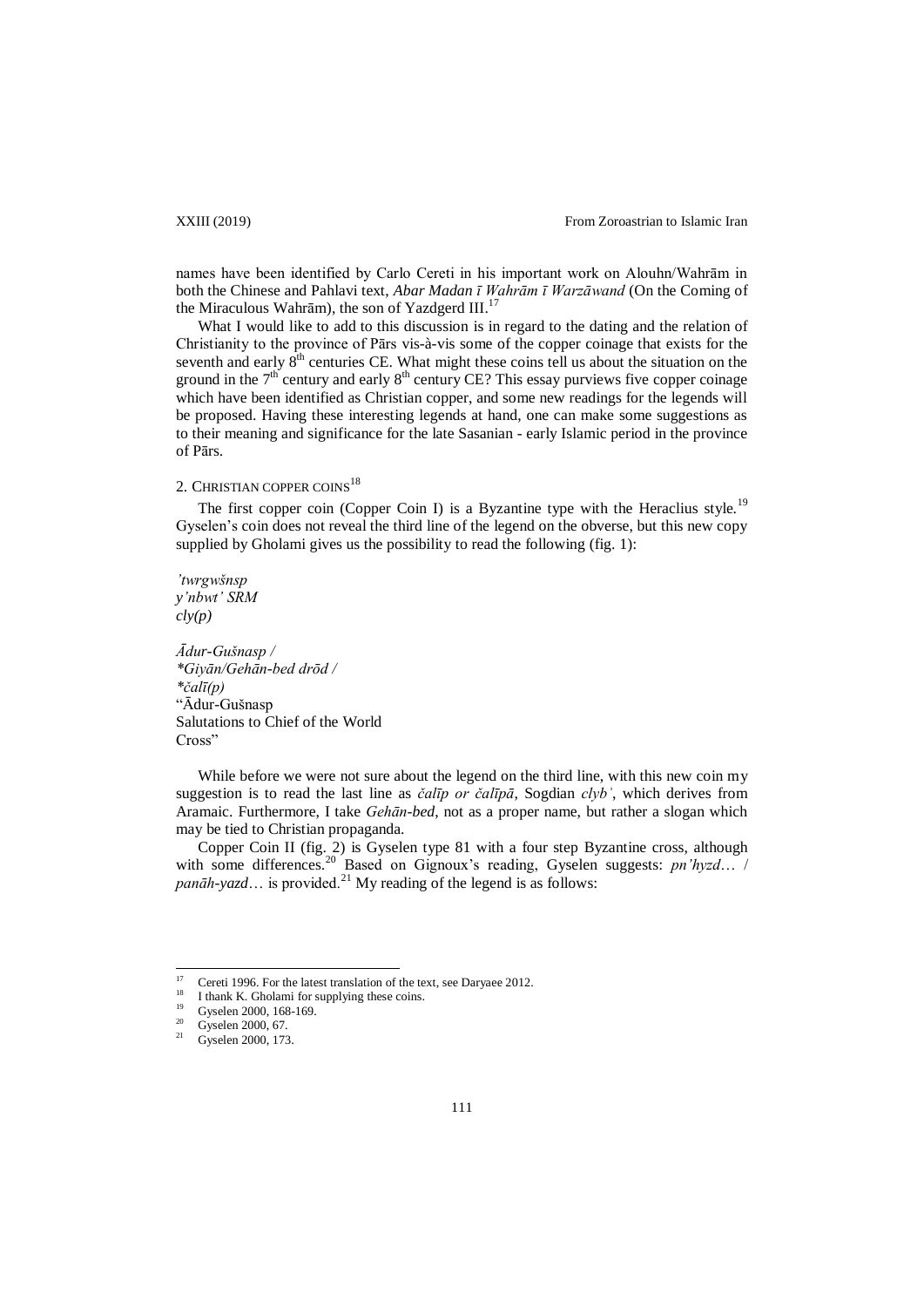names have been identified by Carlo Cereti in his important work on Alouhn/Wahrām in both the Chinese and Pahlavi text, *Abar Madan ī Wahrām ī Warzāwand* (On the Coming of the Miraculous Wahrām), the son of Yazdgerd III.<sup>17</sup>

What I would like to add to this discussion is in regard to the dating and the relation of Christianity to the province of Pārs vis-à-vis some of the copper coinage that exists for the seventh and early  $8<sup>th</sup>$  centuries CE. What might these coins tell us about the situation on the ground in the  $7<sup>th</sup>$  century and early  $8<sup>th</sup>$  century CE? This essay purviews five copper coinage which have been identified as Christian copper, and some new readings for the legends will be proposed. Having these interesting legends at hand, one can make some suggestions as to their meaning and significance for the late Sasanian - early Islamic period in the province of Pārs.

# 2. CHRISTIAN COPPER COINS<sup>18</sup>

The first copper coin (Copper Coin I) is a Byzantine type with the Heraclius style.<sup>19</sup> Gyselen's coin does not reveal the third line of the legend on the obverse, but this new copy supplied by Gholami gives us the possibility to read the following (fig. 1):

*'twrgwšnsp y'nbwt' SRM cly(p)*

*Ādur-Gušnasp / \*Giyān/Gehān-bed drōd / \*čalī(p)* "Ādur-Gušnasp Salutations to Chief of the World Cross"

While before we were not sure about the legend on the third line, with this new coin my suggestion is to read the last line as *čalīp or čalīpā*, Sogdian *clybʾ*, which derives from Aramaic. Furthermore, I take *Gehān-bed*, not as a proper name, but rather a slogan which may be tied to Christian propaganda.

Copper Coin II (fig. 2) is Gyselen type 81 with a four step Byzantine cross, although with some differences.<sup>20</sup> Based on Gignoux's reading, Gyselen suggests: *pn'hyzd*... / *panāh-yazd*… is provided.<sup>21</sup> My reading of the legend is as follows:

 $17$ <sup>17</sup> Cereti 1996. For the latest translation of the text, see Daryaee 2012.

<sup>&</sup>lt;sup>18</sup> I thank K. Gholami for supplying these coins.

 $^{19}$  Gyselen 2000, 168-169.

<sup>&</sup>lt;sup>20</sup> Gyselen 2000, 67.

Gyselen 2000, 173.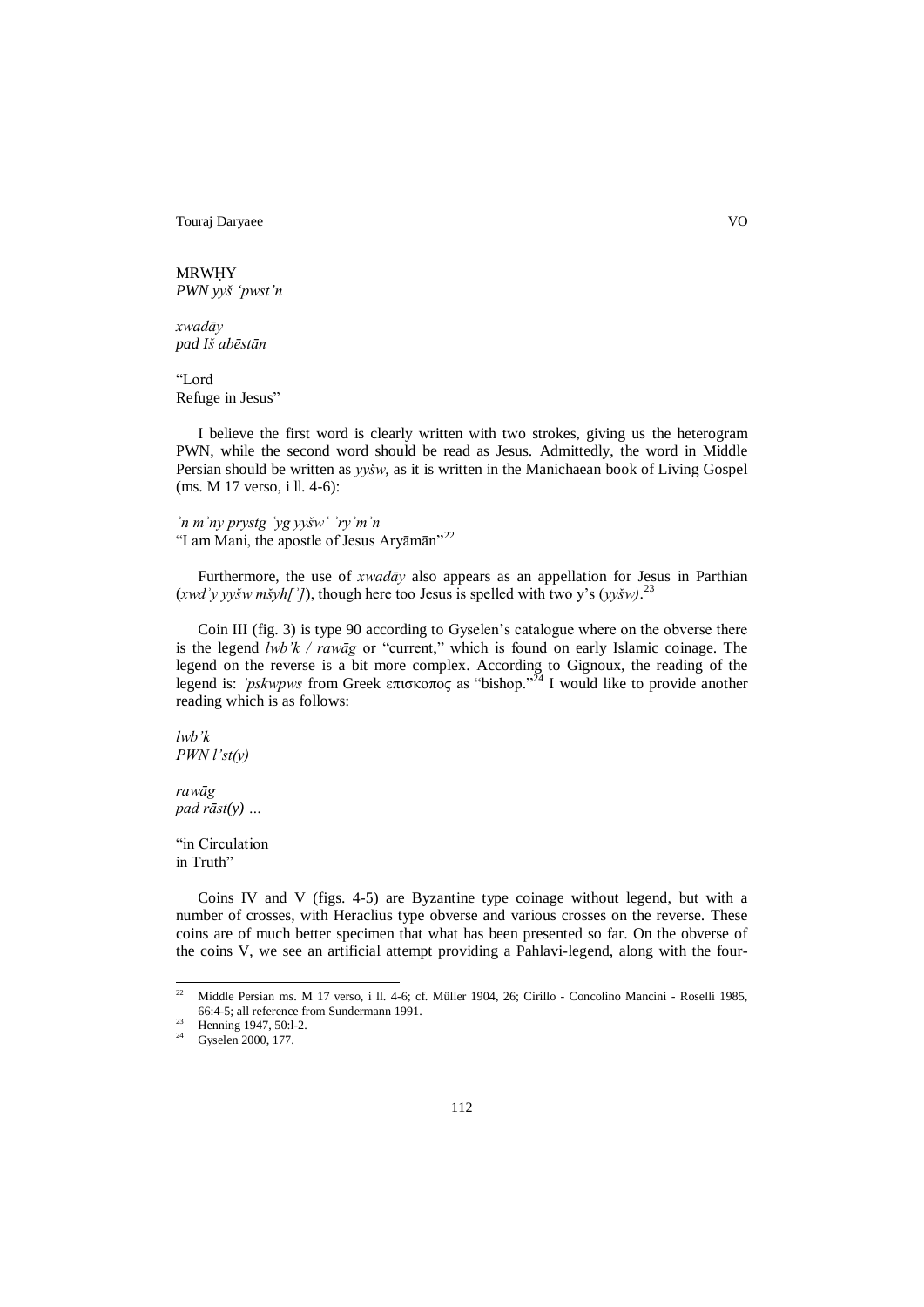MRWḤY *PWN yyš 'pwst'n* 

*xwadāy pad Iš abēstān*

"Lord Refuge in Jesus"

I believe the first word is clearly written with two strokes, giving us the heterogram PWN, while the second word should be read as Jesus. Admittedly, the word in Middle Persian should be written as *yyšw*, as it is written in the Manichaean book of Living Gospel (ms. M 17 verso, i ll. 4-6):

*ʾn mʾny prystg ʿyg yyšwʿ ʾryʾmʾn*  "I am Mani, the apostle of Jesus Aryāmān"<sup>22</sup>

Furthermore, the use of *xwadāy* also appears as an appellation for Jesus in Parthian (*xwdʾy yyšw mšyh[ʾ]*), though here too Jesus is spelled with two y's (*yyšw)*. 23

Coin III (fig. 3) is type 90 according to Gyselen's catalogue where on the obverse there is the legend *lwb'k / rawāg* or "current," which is found on early Islamic coinage. The legend on the reverse is a bit more complex. According to Gignoux, the reading of the legend is: *'pskwpws* from Greek επισκοπος as "bishop."<sup>24</sup> I would like to provide another reading which is as follows:

*lwb'k PWN l'st(y)*

*rawāg pad rāst(y) …*

"in Circulation in Truth"

Coins IV and V (figs. 4-5) are Byzantine type coinage without legend, but with a number of crosses, with Heraclius type obverse and various crosses on the reverse. These coins are of much better specimen that what has been presented so far. On the obverse of the coins V, we see an artificial attempt providing a Pahlavi-legend, along with the four-

 $22$ <sup>22</sup> Middle Persian ms. M 17 verso, i ll. 4-6; cf. Müller 1904, 26; Cirillo - Concolino Mancini - Roselli 1985, 66:4-5; all reference from Sundermann 1991.

 $\frac{23}{24}$  Henning 1947, 50:1-2.

Gyselen 2000, 177.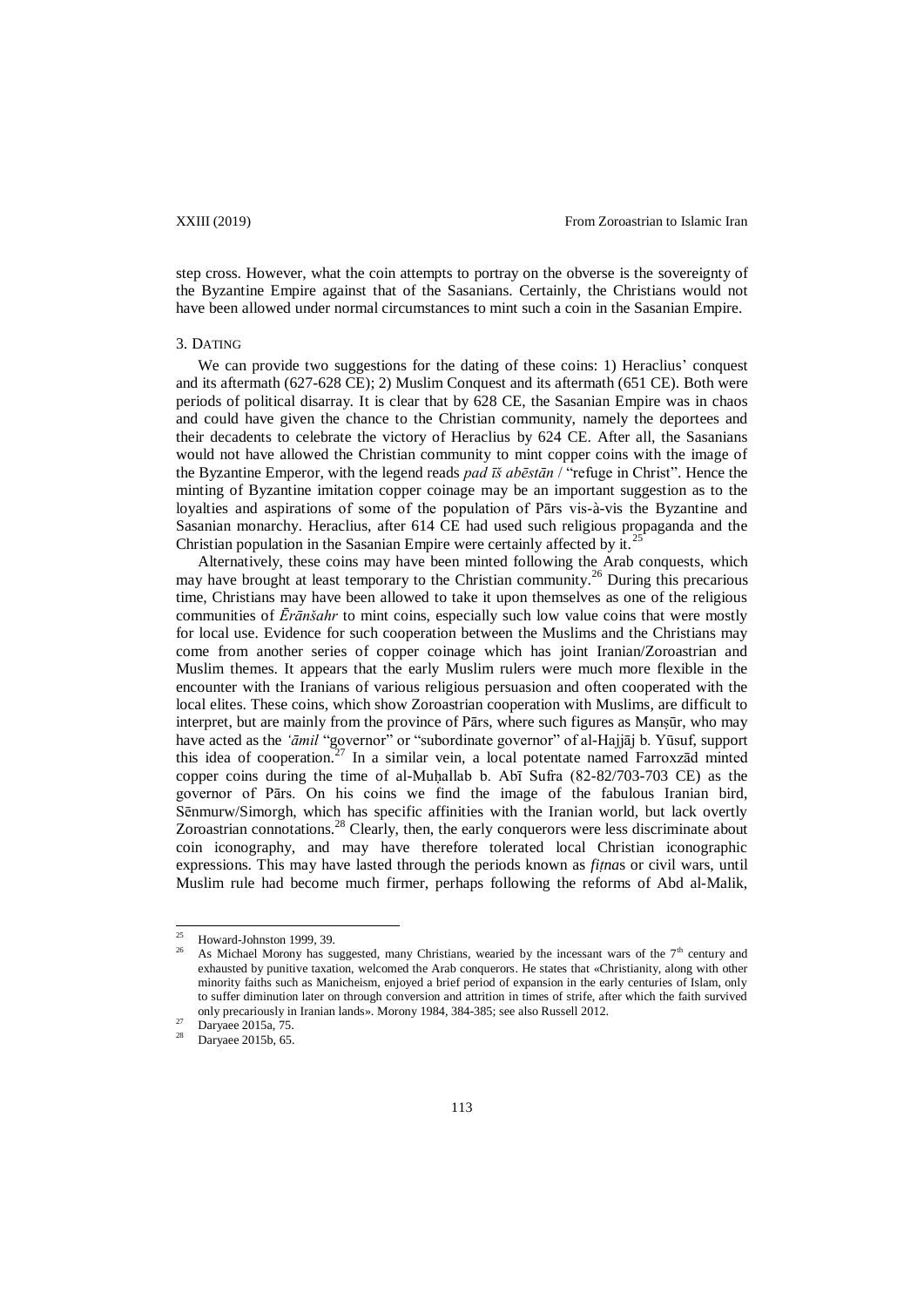step cross. However, what the coin attempts to portray on the obverse is the sovereignty of the Byzantine Empire against that of the Sasanians. Certainly, the Christians would not have been allowed under normal circumstances to mint such a coin in the Sasanian Empire.

#### 3. DATING

We can provide two suggestions for the dating of these coins: 1) Heraclius' conquest and its aftermath (627-628 CE); 2) Muslim Conquest and its aftermath (651 CE). Both were periods of political disarray. It is clear that by 628 CE, the Sasanian Empire was in chaos and could have given the chance to the Christian community, namely the deportees and their decadents to celebrate the victory of Heraclius by 624 CE. After all, the Sasanians would not have allowed the Christian community to mint copper coins with the image of the Byzantine Emperor, with the legend reads *pad īš abēstān* / "refuge in Christ". Hence the minting of Byzantine imitation copper coinage may be an important suggestion as to the loyalties and aspirations of some of the population of Pārs vis-à-vis the Byzantine and Sasanian monarchy. Heraclius, after 614 CE had used such religious propaganda and the Christian population in the Sasanian Empire were certainly affected by it.<sup>25</sup>

Alternatively, these coins may have been minted following the Arab conquests, which may have brought at least temporary to the Christian community.<sup>26</sup> During this precarious time, Christians may have been allowed to take it upon themselves as one of the religious communities of *Ērānšahr* to mint coins, especially such low value coins that were mostly for local use. Evidence for such cooperation between the Muslims and the Christians may come from another series of copper coinage which has joint Iranian/Zoroastrian and Muslim themes. It appears that the early Muslim rulers were much more flexible in the encounter with the Iranians of various religious persuasion and often cooperated with the local elites. These coins, which show Zoroastrian cooperation with Muslims, are difficult to interpret, but are mainly from the province of Pārs, where such figures as Manṣūr, who may have acted as the '*āmil* "governor" or "subordinate governor" of al-Hajjāj b. Yūsuf, support this idea of cooperation. <sup>27</sup> In a similar vein, a local potentate named Farroxzād minted copper coins during the time of al-Muhallab b. Abī Sufra  $(82-82/703-703 \text{ CE})$  as the governor of Pārs. On his coins we find the image of the fabulous Iranian bird, Sēnmurw/Simorgh, which has specific affinities with the Iranian world, but lack overtly Zoroastrian connotations.<sup>28</sup> Clearly, then, the early conquerors were less discriminate about coin iconography, and may have therefore tolerated local Christian iconographic expressions. This may have lasted through the periods known as *fiṭna*s or civil wars, until Muslim rule had become much firmer, perhaps following the reforms of Abd al-Malik,

 $25$ Howard-Johnston 1999, 39.

As Michael Morony has suggested, many Christians, wearied by the incessant wars of the  $7<sup>th</sup>$  century and exhausted by punitive taxation, welcomed the Arab conquerors. He states that «Christianity, along with other minority faiths such as Manicheism, enjoyed a brief period of expansion in the early centuries of Islam, only to suffer diminution later on through conversion and attrition in times of strife, after which the faith survived only precariously in Iranian lands». Morony 1984, 384-385; see also Russell 2012.

 $27$  Daryaee 2015a, 75.

Daryaee 2015b, 65.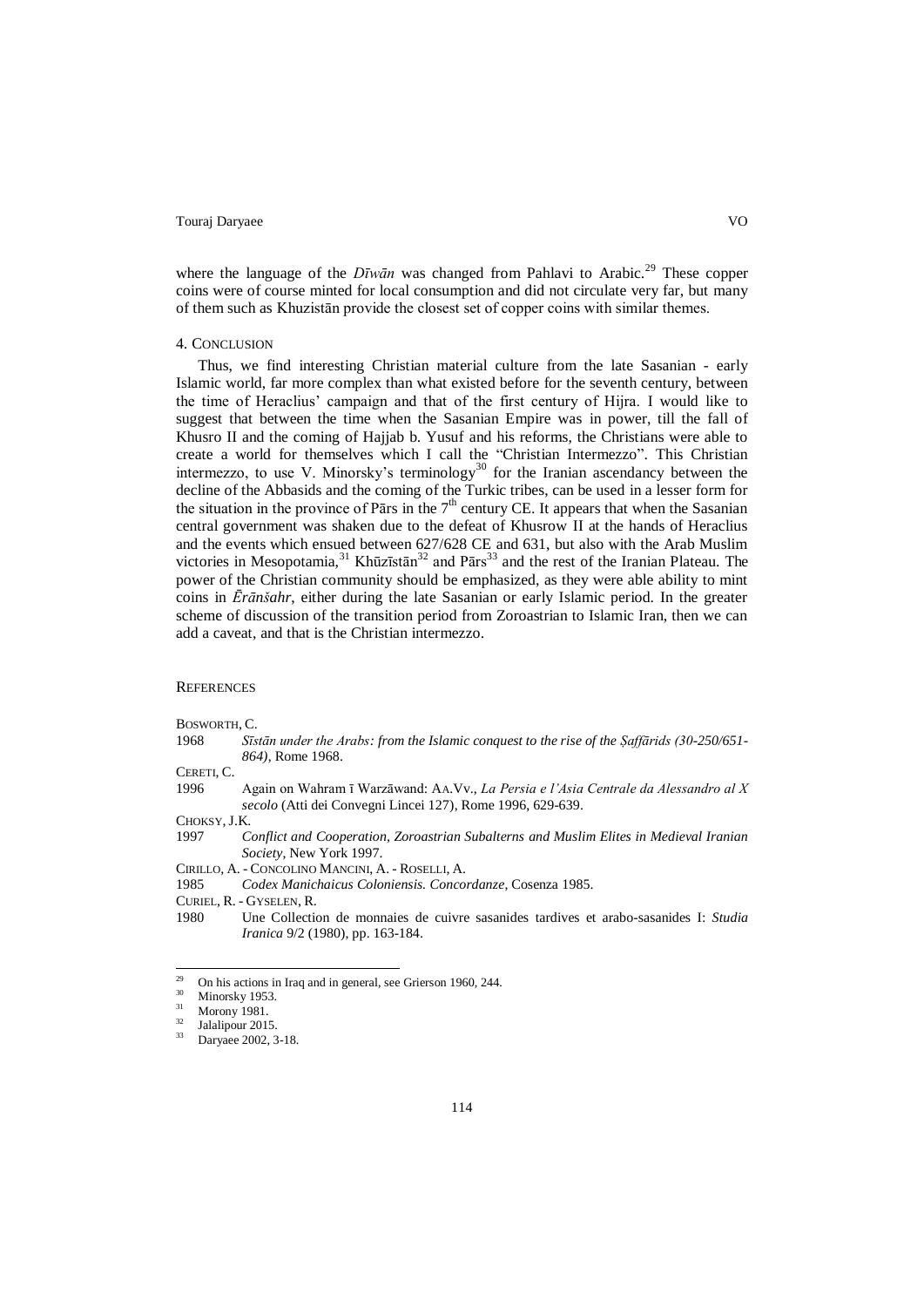where the language of the *Dīwān* was changed from Pahlavi to Arabic.<sup>29</sup> These copper coins were of course minted for local consumption and did not circulate very far, but many of them such as Khuzistān provide the closest set of copper coins with similar themes.

#### 4. CONCLUSION

Thus, we find interesting Christian material culture from the late Sasanian - early Islamic world, far more complex than what existed before for the seventh century, between the time of Heraclius' campaign and that of the first century of Hijra. I would like to suggest that between the time when the Sasanian Empire was in power, till the fall of Khusro II and the coming of Hajjab b. Yusuf and his reforms, the Christians were able to create a world for themselves which I call the "Christian Intermezzo". This Christian intermezzo, to use V. Minorsky's terminology<sup>30</sup> for the Iranian ascendancy between the decline of the Abbasids and the coming of the Turkic tribes, can be used in a lesser form for the situation in the province of Pārs in the  $7<sup>th</sup>$  century CE. It appears that when the Sasanian central government was shaken due to the defeat of Khusrow II at the hands of Heraclius and the events which ensued between 627/628 CE and 631, but also with the Arab Muslim victories in Mesopotamia,<sup>31</sup> Khūzīstān<sup>32</sup> and Pārs<sup>33</sup> and the rest of the Iranian Plateau. The power of the Christian community should be emphasized, as they were able ability to mint coins in *Ērānšahr*, either during the late Sasanian or early Islamic period. In the greater scheme of discussion of the transition period from Zoroastrian to Islamic Iran, then we can add a caveat, and that is the Christian intermezzo.

## **REFERENCES**

BOSWORTH, C.

1968 *Sīstān under the Arabs: from the Islamic conquest to the rise of the Ṣaffārids (30-250/651- 864)*, Rome 1968.

CERETI<sub>C</sub>

- 1996 Again on Wahram ī Warzāwand: AA.Vv., *La Persia e l'Asia Centrale da Alessandro al X secolo* (Atti dei Convegni Lincei 127), Rome 1996, 629-639.
- CHOKSY, J.K.
- 1997 *Conflict and Cooperation, Zoroastrian Subalterns and Muslim Elites in Medieval Iranian Society*, New York 1997.

1985 *Codex Manichaicus Coloniensis. Concordanze*, Cosenza 1985.

CURIEL, R. - GYSELEN, R.

1980 Une Collection de monnaies de cuivre sasanides tardives et arabo-sasanides I: *Studia Iranica* 9/2 (1980), pp. 163-184.

CIRILLO, A. - CONCOLINO MANCINI, A. - ROSELLI, A.

 $29$ <sup>29</sup> On his actions in Iraq and in general, see Grierson 1960, 244.

 $\frac{30}{31}$  Minorsky 1953.

 $31$  Morony 1981.

 $\frac{32}{33}$  Jalalipour 2015.

Daryaee 2002, 3-18.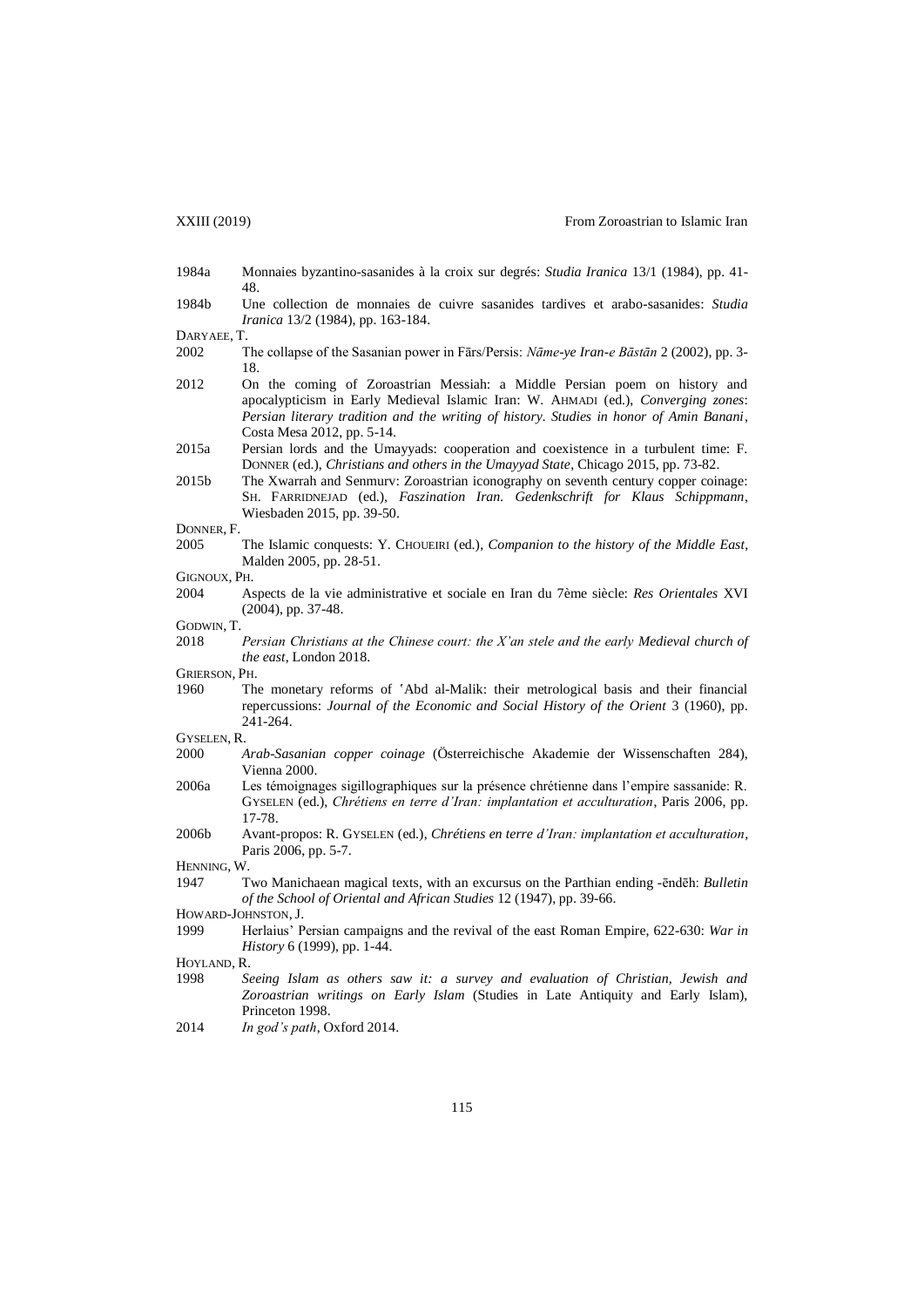| 1984a       | Monnaies byzantino-sasanides à la croix sur degrés: <i>Studia Iranica</i> 13/1 (1984), pp. 41-                                                                  |
|-------------|-----------------------------------------------------------------------------------------------------------------------------------------------------------------|
| 1984b       | 48.<br>Une collection de monnaies de cuivre sasanides tardives et arabo-sasanides: Studia                                                                       |
|             | <i>Iranica</i> 13/2 (1984), pp. 163-184.                                                                                                                        |
| DARYAEE, T. |                                                                                                                                                                 |
| 2002        | The collapse of the Sasanian power in Fars/Persis: Name-ye Iran-e Bastan 2 (2002), pp. 3-                                                                       |
|             | 18.                                                                                                                                                             |
| 2012        | On the coming of Zoroastrian Messiah: a Middle Persian poem on history and<br>apocalypticism in Early Medieval Islamic Iran: W. AHMADI (ed.), Converging zones: |
|             | Persian literary tradition and the writing of history. Studies in honor of Amin Banani,                                                                         |
|             | Costa Mesa 2012, pp. 5-14.                                                                                                                                      |
| 2015a       | Persian lords and the Umayyads: cooperation and coexistence in a turbulent time: F.                                                                             |

DONNER (ed.), *Christians and others in the Umayyad State*, Chicago 2015, pp. 73-82. 2015b The Xwarrah and Senmurv: Zoroastrian iconography on seventh century copper coinage: SH. FARRIDNEJAD (ed.), *Faszination Iran. Gedenkschrift for Klaus Schippmann*,

#### Wiesbaden 2015, pp. 39-50. DONNER, F.

- 2005 The Islamic conquests: Y. CHOUEIRI (ed.), *Companion to the history of the Middle East*, Malden 2005, pp. 28-51.
- GIGNOUX, PH.
- 2004 Aspects de la vie administrative et sociale en Iran du 7ème siècle: *Res Orientales* XVI (2004), pp. 37-48.
- GODWIN, T.
- 2018 *Persian Christians at the Chinese court: the X'an stele and the early Medieval church of the east*, London 2018.

GRIERSON, PH.

1960 The monetary reforms of ʽAbd al-Malik: their metrological basis and their financial repercussions: *Journal of the Economic and Social History of the Orient* 3 (1960), pp. 241-264.

GYSELEN, R.

- 2000 *Arab-Sasanian copper coinage* (Österreichische Akademie der Wissenschaften 284), Vienna 2000.
- 2006a Les témoignages sigillographiques sur la présence chrétienne dans l'empire sassanide: R. GYSELEN (ed.), *Chrétiens en terre d'Iran: implantation et acculturation*, Paris 2006, pp. 17-78.
- 2006b Avant-propos: R. GYSELEN (ed.), *Chrétiens en terre d'Iran: implantation et acculturation*, Paris 2006, pp. 5-7.

HENNING, W.

1947 Two Manichaean magical texts, with an excursus on the Parthian ending -ēndēh: *Bulletin of the School of Oriental and African Studies* 12 (1947), pp. 39-66.

HOWARD-JOHNSTON, J.

1999 Herlaius' Persian campaigns and the revival of the east Roman Empire, 622-630: *War in History* 6 (1999), pp. 1-44.

HOYLAND, R.

- 1998 *Seeing Islam as others saw it: a survey and evaluation of Christian, Jewish and Zoroastrian writings on Early Islam* (Studies in Late Antiquity and Early Islam), Princeton 1998.
- 2014 *In god's path*, Oxford 2014.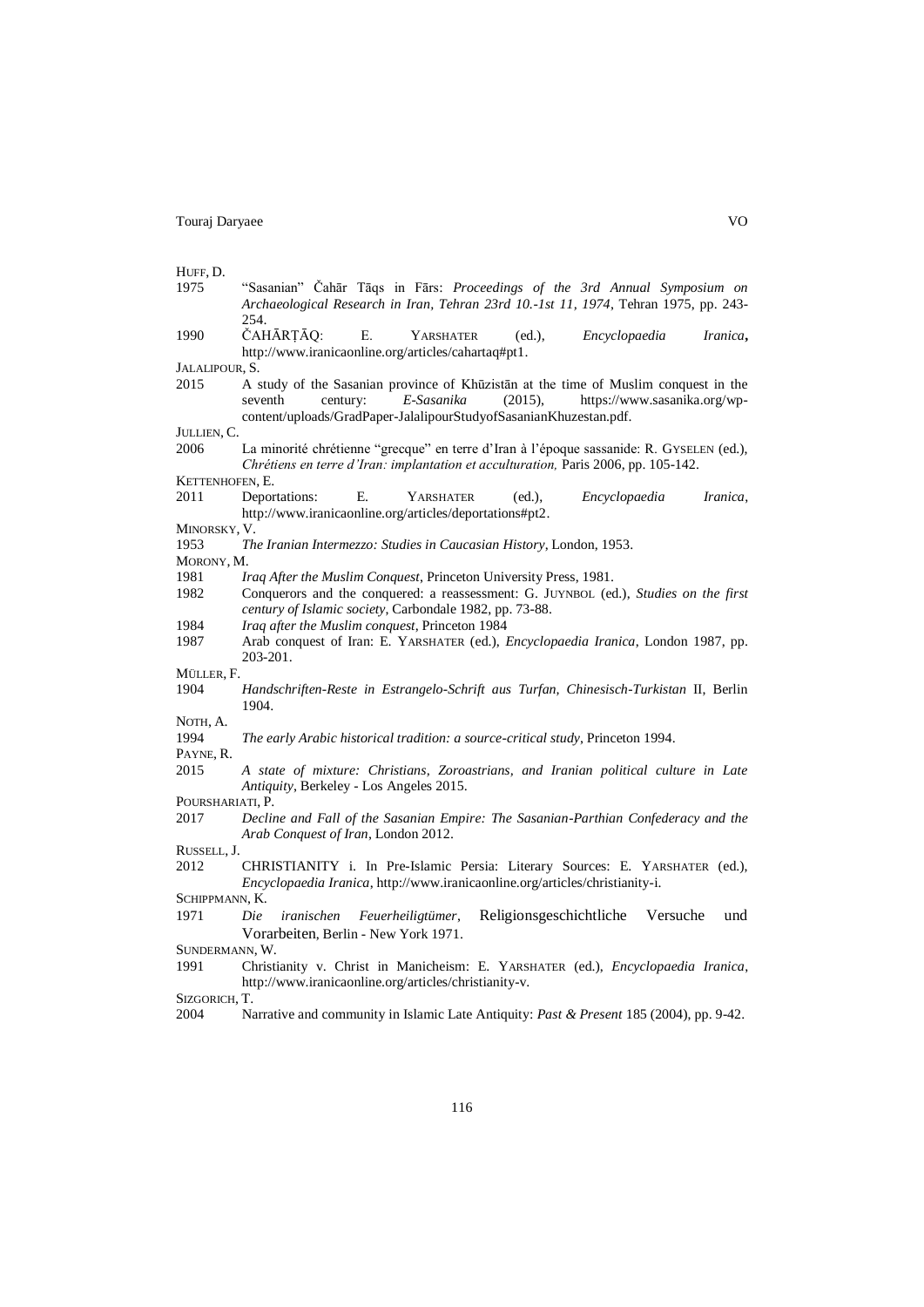$H$ <sub>LEE</sub> D.

| HUFF, D.         |                                                                                                                                                                                                                                          |  |
|------------------|------------------------------------------------------------------------------------------------------------------------------------------------------------------------------------------------------------------------------------------|--|
| 1975             | "Sasanian" Čahār Tāqs in Fārs: Proceedings of the 3rd Annual Symposium on<br>Archaeological Research in Iran, Tehran 23rd 10.-1st 11, 1974, Tehran 1975, pp. 243-                                                                        |  |
|                  | 254.                                                                                                                                                                                                                                     |  |
| 1990             | ČAHĀRTĀO:<br>Е.<br>YARSHATER<br>(ed.)<br>Encyclopaedia<br>Iranica,<br>http://www.iranicaonline.org/articles/cahartaq#pt1.                                                                                                                |  |
| JALALIPOUR, S.   |                                                                                                                                                                                                                                          |  |
| 2015             | A study of the Sasanian province of Khūzistān at the time of Muslim conquest in the<br>https://www.sasanika.org/wp-<br>seventh<br>century:<br>E-Sasanika<br>(2015),<br>content/uploads/GradPaper-JalalipourStudyofSasanianKhuzestan.pdf. |  |
| JULLIEN, C.      |                                                                                                                                                                                                                                          |  |
| 2006             | La minorité chrétienne "grecque" en terre d'Iran à l'époque sassanide: R. GYSELEN (ed.),<br>Chrétiens en terre d'Iran: implantation et acculturation, Paris 2006, pp. 105-142.                                                           |  |
| KETTENHOFEN, E.  |                                                                                                                                                                                                                                          |  |
| 2011             | Deportations:<br>Е.<br>YARSHATER<br>(ed.),<br>Encyclopaedia<br>Iranica,<br>http://www.iranicaonline.org/articles/deportations#pt2.                                                                                                       |  |
| MINORSKY, V.     |                                                                                                                                                                                                                                          |  |
| 1953             | The Iranian Intermezzo: Studies in Caucasian History, London, 1953.                                                                                                                                                                      |  |
| MORONY, M.       |                                                                                                                                                                                                                                          |  |
| 1981             | Iraq After the Muslim Conquest, Princeton University Press, 1981.                                                                                                                                                                        |  |
| 1982             | Conquerors and the conquered: a reassessment: G. JUYNBOL (ed.), Studies on the first<br>century of Islamic society, Carbondale 1982, pp. 73-88.                                                                                          |  |
| 1984             | Iraq after the Muslim conquest, Princeton 1984                                                                                                                                                                                           |  |
| 1987             | Arab conquest of Iran: E. YARSHATER (ed.), <i>Encyclopaedia Iranica</i> , London 1987, pp.<br>203-201.                                                                                                                                   |  |
| Müller, F.       |                                                                                                                                                                                                                                          |  |
| 1904             | Handschriften-Reste in Estrangelo-Schrift aus Turfan, Chinesisch-Turkistan II, Berlin<br>1904.                                                                                                                                           |  |
| NOTH, A.         |                                                                                                                                                                                                                                          |  |
| 1994             | The early Arabic historical tradition: a source-critical study, Princeton 1994.                                                                                                                                                          |  |
| PAYNE, R.        |                                                                                                                                                                                                                                          |  |
| 2015             | A state of mixture: Christians, Zoroastrians, and Iranian political culture in Late<br>Antiquity, Berkeley - Los Angeles 2015.                                                                                                           |  |
| POURSHARIATI, P. |                                                                                                                                                                                                                                          |  |
| 2017             | Decline and Fall of the Sasanian Empire: The Sasanian-Parthian Confederacy and the<br>Arab Conquest of Iran, London 2012.                                                                                                                |  |
| RUSSELL, J.      |                                                                                                                                                                                                                                          |  |
| 2012             | CHRISTIANITY i. In Pre-Islamic Persia: Literary Sources: E. YARSHATER (ed.),<br>Encyclopaedia Iranica, http://www.iranicaonline.org/articles/christianity-i.                                                                             |  |
| SCHIPPMANN, K.   |                                                                                                                                                                                                                                          |  |
| 1971             | Religionsgeschichtliche<br>Versuche<br>und<br>Die<br>iranischen<br>Feuerheiligtümer,<br>Vorarbeiten, Berlin - New York 1971.                                                                                                             |  |
|                  |                                                                                                                                                                                                                                          |  |
| SUNDERMANN, W.   |                                                                                                                                                                                                                                          |  |
| 1991             | Christianity v. Christ in Manicheism: E. YARSHATER (ed.), Encyclopaedia Iranica,<br>http://www.iranicaonline.org/articles/christianity-v.                                                                                                |  |
| Sizgorich, T.    |                                                                                                                                                                                                                                          |  |
| 2004             | Narrative and community in Islamic Late Antiquity: <i>Past &amp; Present</i> 185 (2004), pp. 9-42.                                                                                                                                       |  |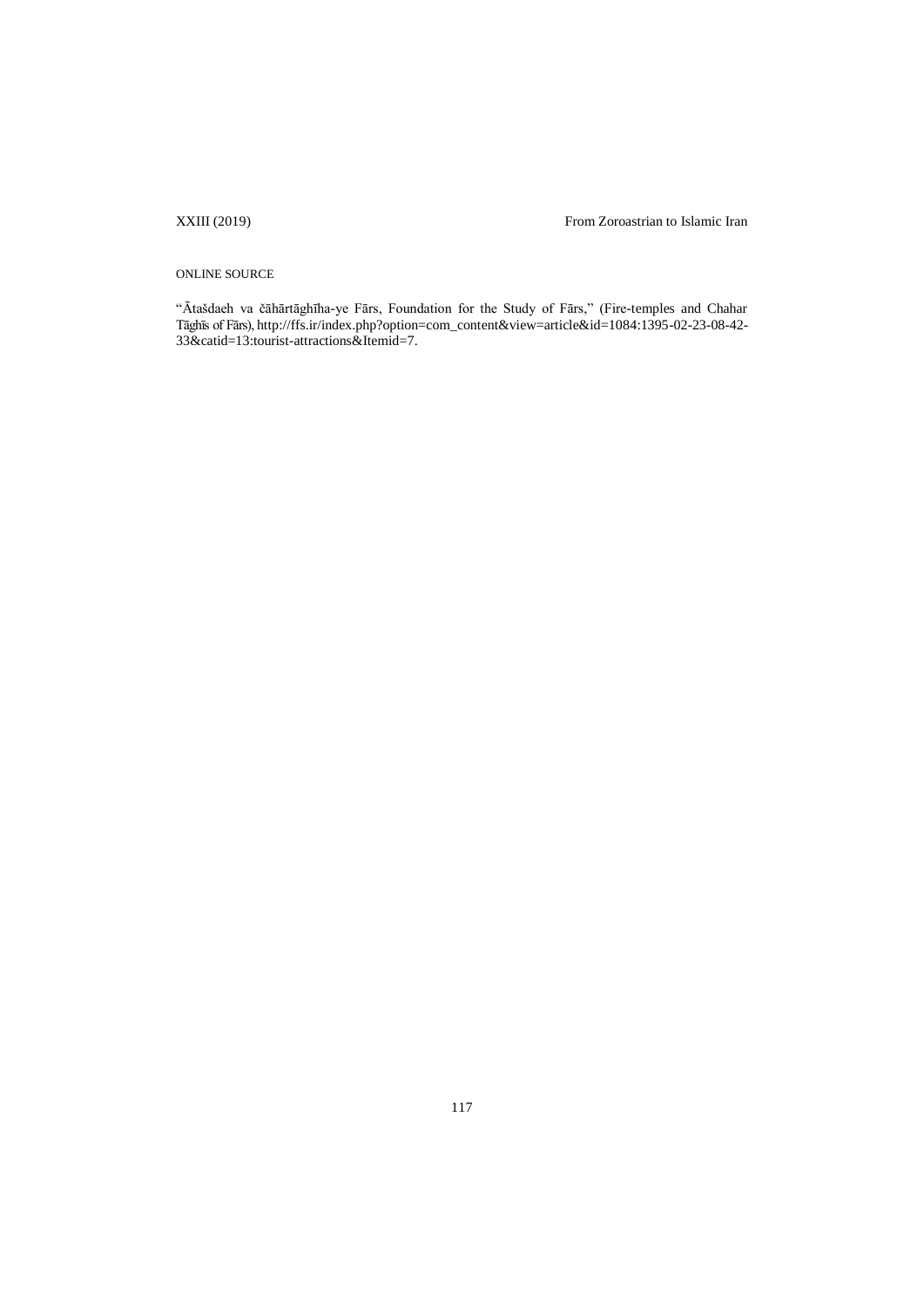XXIII (2019) From Zoroastrian to Islamic Iran

# ONLINE SOURCE

"Ātašdaeh va čāhārtāghīha-ye Fārs, Foundation for the Study of Fārs," (Fire-temples and Chahar Tāghīs of Fārs), [http://ffs.ir/index.php?option=com\\_content&view=article&id=1084:1395-02-23-08-42-](http://ffs.ir/index.php?option=com_content&view=article&id=1084:1395-02-23-08-42-33&catid=13:tourist-attractions&Itemid=7) [33&catid=13:tourist-attractions&Itemid=7.](http://ffs.ir/index.php?option=com_content&view=article&id=1084:1395-02-23-08-42-33&catid=13:tourist-attractions&Itemid=7)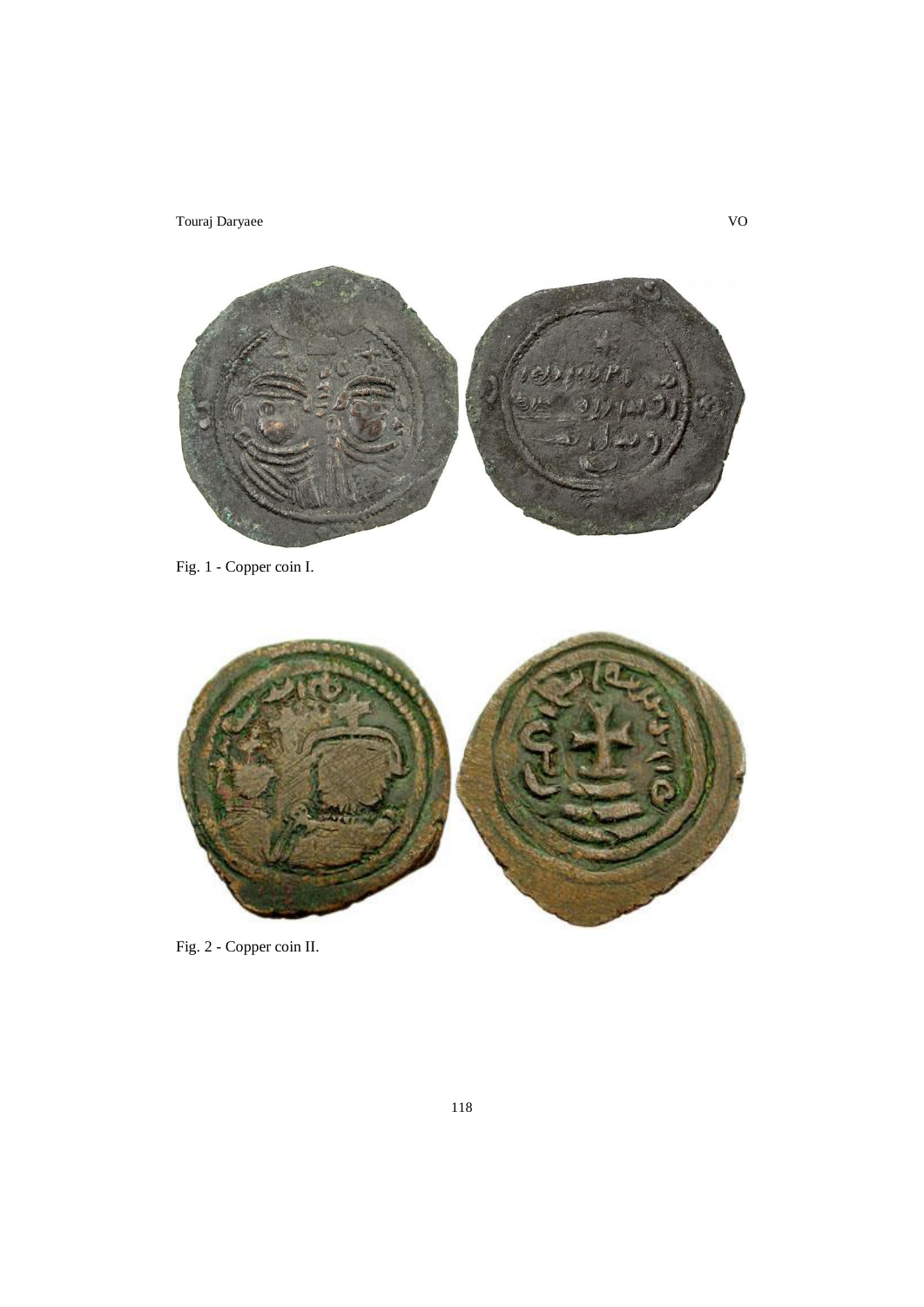



Fig. 1 - Copper coin I.



Fig. 2 - Copper coin II.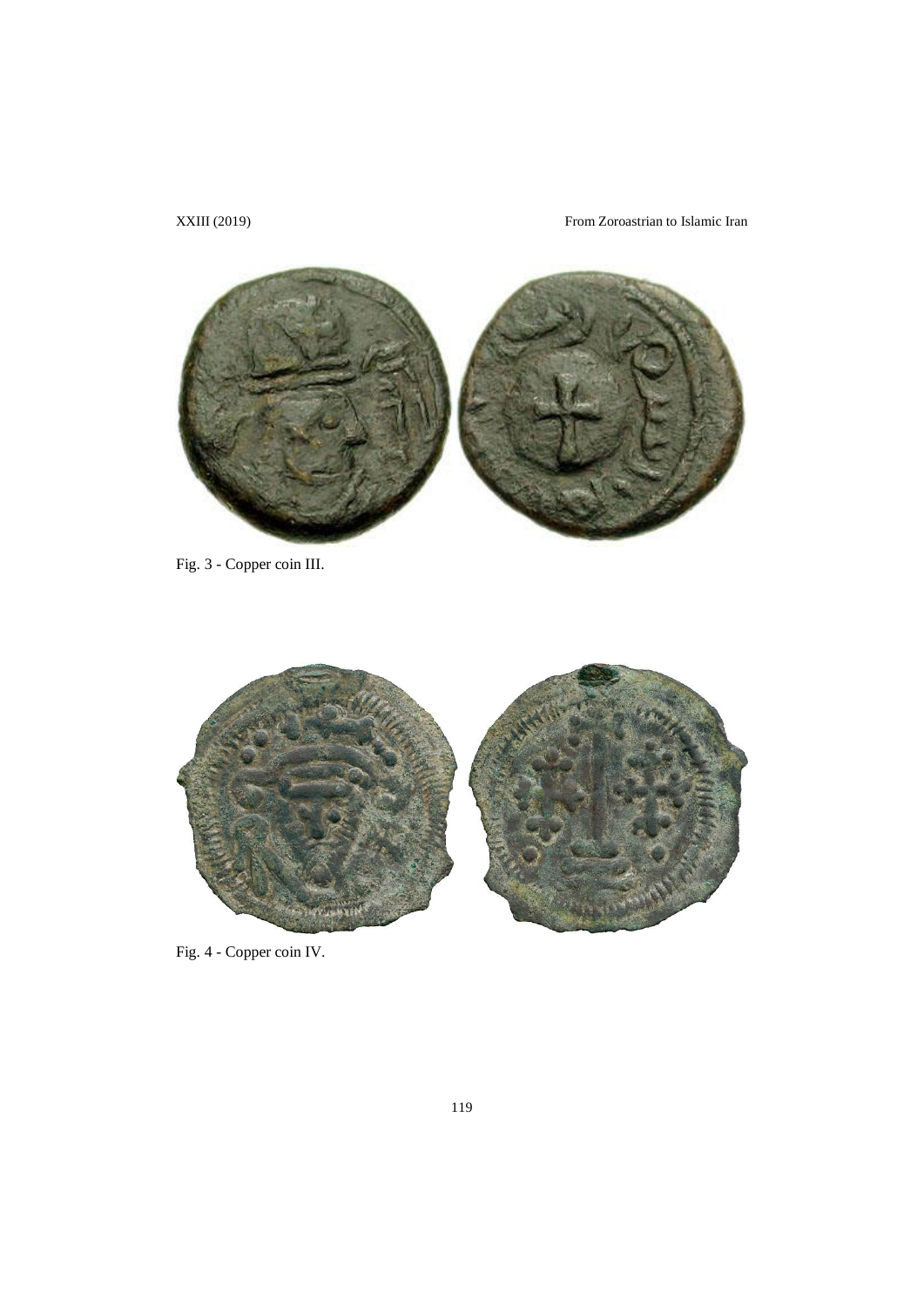

Fig. 3 - Copper coin III.



Fig. 4 - Copper coin IV.